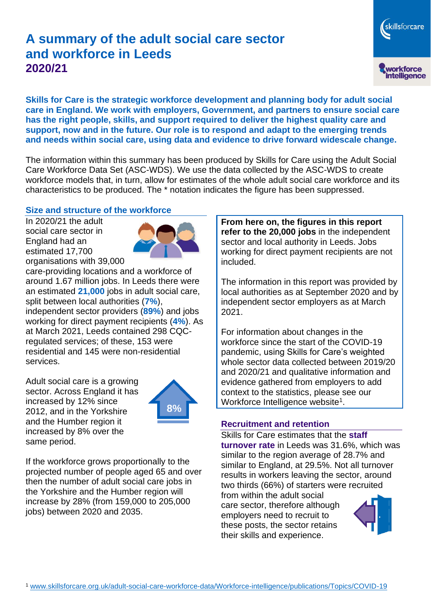# **A summary of the adult social care sector and workforce in Leeds 2020/21**

skillsforcare workforce<br>intelligence

**Skills for Care is the strategic workforce development and planning body for adult social care in England. We work with employers, Government, and partners to ensure social care has the right people, skills, and support required to deliver the highest quality care and support, now and in the future. Our role is to respond and adapt to the emerging trends and needs within social care, using data and evidence to drive forward widescale change.**

The information within this summary has been produced by Skills for Care using the Adult Social Care Workforce Data Set (ASC-WDS). We use the data collected by the ASC-WDS to create workforce models that, in turn, allow for estimates of the whole adult social care workforce and its characteristics to be produced. The \* notation indicates the figure has been suppressed.

#### **Size and structure of the workforce**

In 2020/21 the adult social care sector in England had an estimated 17,700 organisations with 39,000



care-providing locations and a workforce of around 1.67 million jobs. In Leeds there were an estimated **21,000** jobs in adult social care, split between local authorities (**7%**), independent sector providers (**89%**) and jobs working for direct payment recipients (**4%**). As at March 2021, Leeds contained 298 CQCregulated services; of these, 153 were residential and 145 were non-residential services.

Adult social care is a growing sector. Across England it has increased by 12% since 2012, and in the Yorkshire and the Humber region it increased by 8% over the same period.



If the workforce grows proportionally to the projected number of people aged 65 and over then the number of adult social care jobs in the Yorkshire and the Humber region will increase by 28% (from 159,000 to 205,000 jobs) between 2020 and 2035.

**From here on, the figures in this report refer to the 20,000 jobs** in the independent sector and local authority in Leeds. Jobs working for direct payment recipients are not included.

The information in this report was provided by local authorities as at September 2020 and by independent sector employers as at March 2021.

For information about changes in the workforce since the start of the COVID-19 pandemic, using Skills for Care's weighted whole sector data collected between 2019/20 and 2020/21 and qualitative information and evidence gathered from employers to add context to the statistics, please see our Workforce Intelligence website<sup>1</sup>.

#### **Recruitment and retention**

Skills for Care estimates that the **staff turnover rate** in Leeds was 31.6%, which was similar to the region average of 28.7% and similar to England, at 29.5%. Not all turnover results in workers leaving the sector, around two thirds (66%) of starters were recruited from within the adult social care sector, therefore although employers need to recruit to

these posts, the sector retains their skills and experience.

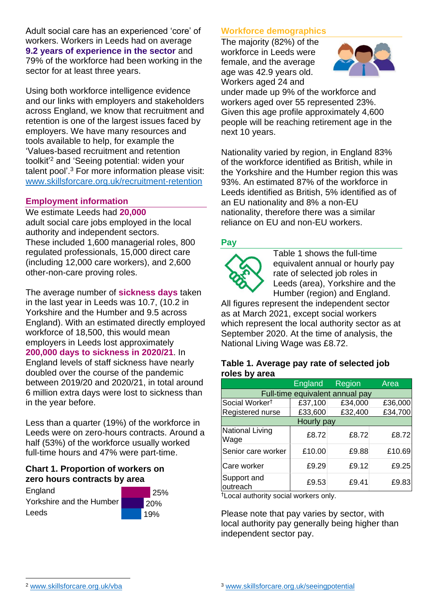Adult social care has an experienced 'core' of workers. Workers in Leeds had on average **9.2 years of experience in the sector** and 79% of the workforce had been working in the sector for at least three years.

Using both workforce intelligence evidence and our links with employers and stakeholders across England, we know that recruitment and retention is one of the largest issues faced by employers. We have many resources and tools available to help, for example the 'Values-based recruitment and retention toolkit'<sup>2</sup> and 'Seeing potential: widen your talent pool'. <sup>3</sup> For more information please visit: [www.skillsforcare.org.uk/recruitment-retention](http://www.skillsforcare.org.uk/recruitment-retention)

## **Employment information**

We estimate Leeds had **20,000** adult social care jobs employed in the local authority and independent sectors. These included 1,600 managerial roles, 800 regulated professionals, 15,000 direct care (including 12,000 care workers), and 2,600 other-non-care proving roles.

The average number of **sickness days** taken in the last year in Leeds was 10.7, (10.2 in Yorkshire and the Humber and 9.5 across England). With an estimated directly employed workforce of 18,500, this would mean employers in Leeds lost approximately **200,000 days to sickness in 2020/21**. In

England levels of staff sickness have nearly doubled over the course of the pandemic between 2019/20 and 2020/21, in total around 6 million extra days were lost to sickness than in the year before.

Less than a quarter (19%) of the workforce in Leeds were on zero-hours contracts. Around a half (53%) of the workforce usually worked full-time hours and 47% were part-time.

## **Chart 1. Proportion of workers on zero hours contracts by area**

**England** Yorkshire and the Humber Leeds



## **Workforce demographics**

The majority (82%) of the workforce in Leeds were female, and the average age was 42.9 years old. Workers aged 24 and



under made up 9% of the workforce and workers aged over 55 represented 23%. Given this age profile approximately 4,600 people will be reaching retirement age in the next 10 years.

Nationality varied by region, in England 83% of the workforce identified as British, while in the Yorkshire and the Humber region this was 93%. An estimated 87% of the workforce in Leeds identified as British, 5% identified as of an EU nationality and 8% a non-EU nationality, therefore there was a similar reliance on EU and non-EU workers.

## **Pay**



Table 1 shows the full-time equivalent annual or hourly pay rate of selected job roles in Leeds (area), Yorkshire and the Humber (region) and England.

All figures represent the independent sector as at March 2021, except social workers which represent the local authority sector as at September 2020. At the time of analysis, the National Living Wage was £8.72.

#### **Table 1. Average pay rate of selected job roles by area**

|                                 | <b>England</b> | <b>Region</b> | Area    |
|---------------------------------|----------------|---------------|---------|
| Full-time equivalent annual pay |                |               |         |
| Social Worker <sup>t</sup>      | £37,100        | £34,000       | £36,000 |
| Registered nurse                | £33,600        | £32,400       | £34,700 |
| Hourly pay                      |                |               |         |
| National Living<br>Wage         | £8.72          | £8.72         | £8.72   |
| Senior care worker              | £10.00         | £9.88         | £10.69  |
| Care worker                     | £9.29          | £9.12         | £9.25   |
| Support and<br>outreach         | £9.53          | £9.41         | £9.83   |

†Local authority social workers only.

Please note that pay varies by sector, with local authority pay generally being higher than independent sector pay.